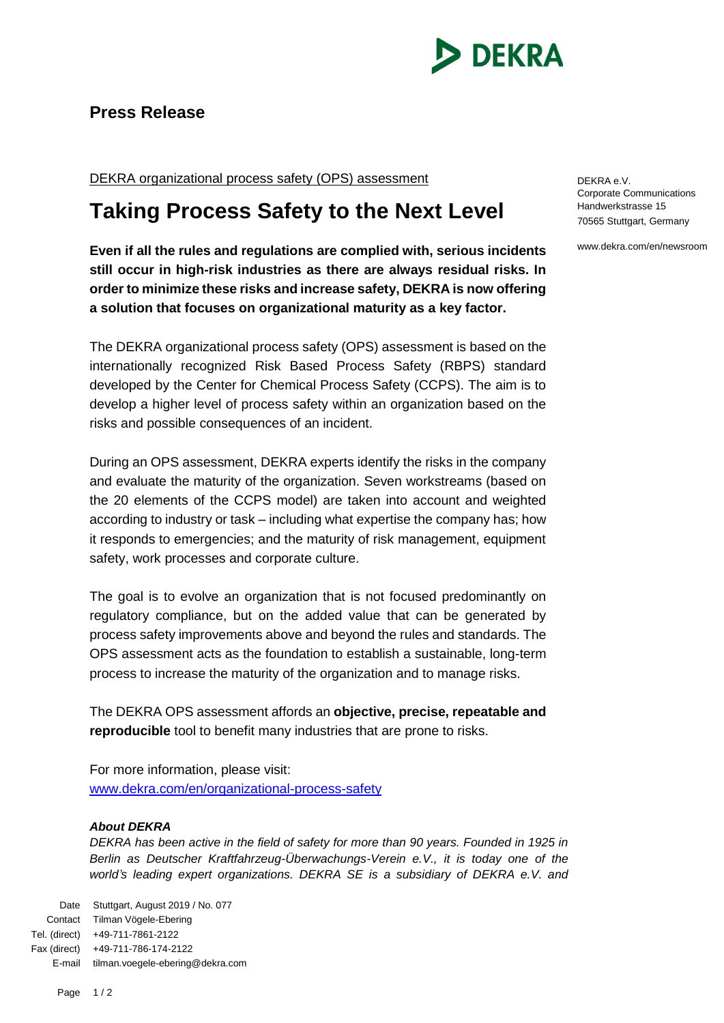

## **Press Release**

DEKRA organizational process safety (OPS) assessment

## **Taking Process Safety to the Next Level**

**Even if all the rules and regulations are complied with, serious incidents still occur in high-risk industries as there are always residual risks. In order to minimize these risks and increase safety, DEKRA is now offering a solution that focuses on organizational maturity as a key factor.**

The DEKRA organizational process safety (OPS) assessment is based on the internationally recognized Risk Based Process Safety (RBPS) standard developed by the Center for Chemical Process Safety (CCPS). The aim is to develop a higher level of process safety within an organization based on the risks and possible consequences of an incident.

During an OPS assessment, DEKRA experts identify the risks in the company and evaluate the maturity of the organization. Seven workstreams (based on the 20 elements of the CCPS model) are taken into account and weighted according to industry or task – including what expertise the company has; how it responds to emergencies; and the maturity of risk management, equipment safety, work processes and corporate culture.

The goal is to evolve an organization that is not focused predominantly on regulatory compliance, but on the added value that can be generated by process safety improvements above and beyond the rules and standards. The OPS assessment acts as the foundation to establish a sustainable, long-term process to increase the maturity of the organization and to manage risks.

The DEKRA OPS assessment affords an **objective, precise, repeatable and reproducible** tool to benefit many industries that are prone to risks.

For more information, please visit: [www.dekra.com/en/organizational-process-safety](http://www.dekra.com/en/organizational-process-safety)

## *About DEKRA*

*DEKRA has been active in the field of safety for more than 90 years. Founded in 1925 in Berlin as Deutscher Kraftfahrzeug-Überwachungs-Verein e.V., it is today one of the*  world's leading expert organizations. DEKRA SE is a subsidiary of DEKRA e.V. and

Date Stuttgart, August 2019 / No. 077 Contact Tilman Vögele-Ebering Tel. (direct) +49-711-7861-2122 Fax (direct) +49-711-786-174-2122 E-mail tilman.voegele-ebering@dekra.com DEKRA e.V. Corporate Communications Handwerkstrasse 15 70565 Stuttgart, Germany

www.dekra.com/en/newsroom